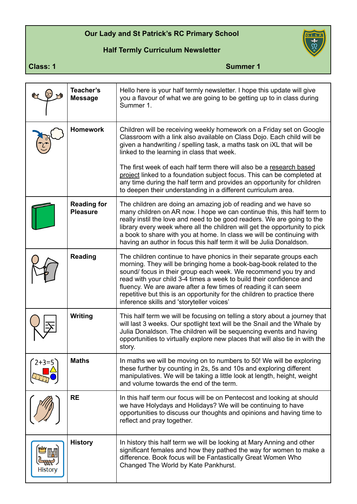## **Our Lady and St Patrick's RC Primary School**

## **Half Termly Curriculum Newsletter**



**Class: 1** Summer 1

|         | Teacher's<br><b>Message</b>           | Hello here is your half termly newsletter. I hope this update will give<br>you a flavour of what we are going to be getting up to in class during<br>Summer 1.                                                                                                                                                                                                                                                                                                                |  |
|---------|---------------------------------------|-------------------------------------------------------------------------------------------------------------------------------------------------------------------------------------------------------------------------------------------------------------------------------------------------------------------------------------------------------------------------------------------------------------------------------------------------------------------------------|--|
|         | <b>Homework</b>                       | Children will be receiving weekly homework on a Friday set on Google<br>Classroom with a link also available on Class Dojo. Each child will be<br>given a handwriting / spelling task, a maths task on iXL that will be<br>linked to the learning in class that week.                                                                                                                                                                                                         |  |
|         |                                       | The first week of each half term there will also be a research based<br>project linked to a foundation subject focus. This can be completed at<br>any time during the half term and provides an opportunity for children<br>to deepen their understanding in a different curriculum area.                                                                                                                                                                                     |  |
|         | <b>Reading for</b><br><b>Pleasure</b> | The children are doing an amazing job of reading and we have so<br>many children on AR now. I hope we can continue this, this half term to<br>really instil the love and need to be good readers. We are going to the<br>library every week where all the children will get the opportunity to pick<br>a book to share with you at home. In class we will be continuing with<br>having an author in focus this half term it will be Julia Donaldson.                          |  |
|         | <b>Reading</b>                        | The children continue to have phonics in their separate groups each<br>morning. They will be bringing home a book-bag-book related to the<br>sound/focus in their group each week. We recommend you try and<br>read with your child 3-4 times a week to build their confidence and<br>fluency. We are aware after a few times of reading it can seem<br>repetitive but this is an opportunity for the children to practice there<br>inference skills and 'storyteller voices' |  |
|         | <b>Writing</b>                        | This half term we will be focusing on telling a story about a journey that<br>will last 3 weeks. Our spotlight text will be the Snail and the Whale by<br>Julia Donaldson. The children will be sequencing events and having<br>opportunities to virtually explore new places that will also tie in with the<br>story.                                                                                                                                                        |  |
| $2+3=5$ | <b>Maths</b>                          | In maths we will be moving on to numbers to 50! We will be exploring<br>these further by counting in 2s, 5s and 10s and exploring different<br>manipulatives. We will be taking a little look at length, height, weight<br>and volume towards the end of the term.                                                                                                                                                                                                            |  |
|         | <b>RE</b>                             | In this half term our focus will be on Pentecost and looking at should<br>we have Holydays and Holidays? We will be continuing to have<br>opportunities to discuss our thoughts and opinions and having time to<br>reflect and pray together.                                                                                                                                                                                                                                 |  |
| History | <b>History</b>                        | In history this half term we will be looking at Mary Anning and other<br>significant females and how they pathed the way for women to make a<br>difference. Book focus will be Fantastically Great Women Who<br>Changed The World by Kate Pankhurst.                                                                                                                                                                                                                          |  |